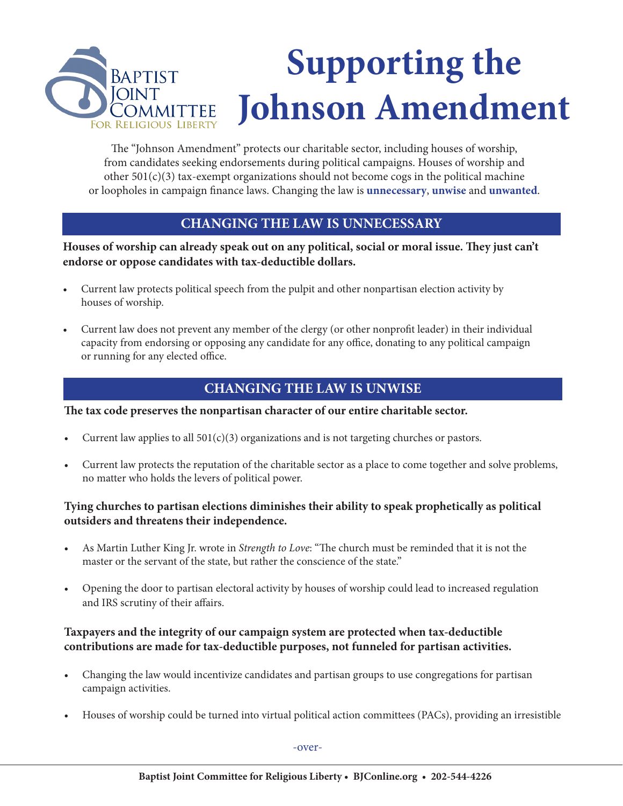

The "Johnson Amendment" protects our charitable sector, including houses of worship, from candidates seeking endorsements during political campaigns. Houses of worship and other  $501(c)(3)$  tax-exempt organizations should not become cogs in the political machine or loopholes in campaign finance laws. Changing the law is **unnecessary**, **unwise** and **unwanted**.

### **CHANGING THE LAW IS UNNECESSARY**

**Houses of worship can already speak out on any political, social or moral issue. They just can't endorse or oppose candidates with tax-deductible dollars.** 

- Current law protects political speech from the pulpit and other nonpartisan election activity by houses of worship.
- Current law does not prevent any member of the clergy (or other nonprofit leader) in their individual capacity from endorsing or opposing any candidate for any office, donating to any political campaign or running for any elected office.

# **CHANGING THE LAW IS UNWISE**

**The tax code preserves the nonpartisan character of our entire charitable sector.** 

- Current law applies to all  $501(c)(3)$  organizations and is not targeting churches or pastors.
- Current law protects the reputation of the charitable sector as a place to come together and solve problems, no matter who holds the levers of political power.

#### **Tying churches to partisan elections diminishes their ability to speak prophetically as political outsiders and threatens their independence.**

- As Martin Luther King Jr. wrote in *Strength to Love*: "The church must be reminded that it is not the master or the servant of the state, but rather the conscience of the state."
- Opening the door to partisan electoral activity by houses of worship could lead to increased regulation and IRS scrutiny of their affairs.

#### **Taxpayers and the integrity of our campaign system are protected when tax-deductible contributions are made for tax-deductible purposes, not funneled for partisan activities.**

- Changing the law would incentivize candidates and partisan groups to use congregations for partisan campaign activities.
- Houses of worship could be turned into virtual political action committees (PACs), providing an irresistible

-over-